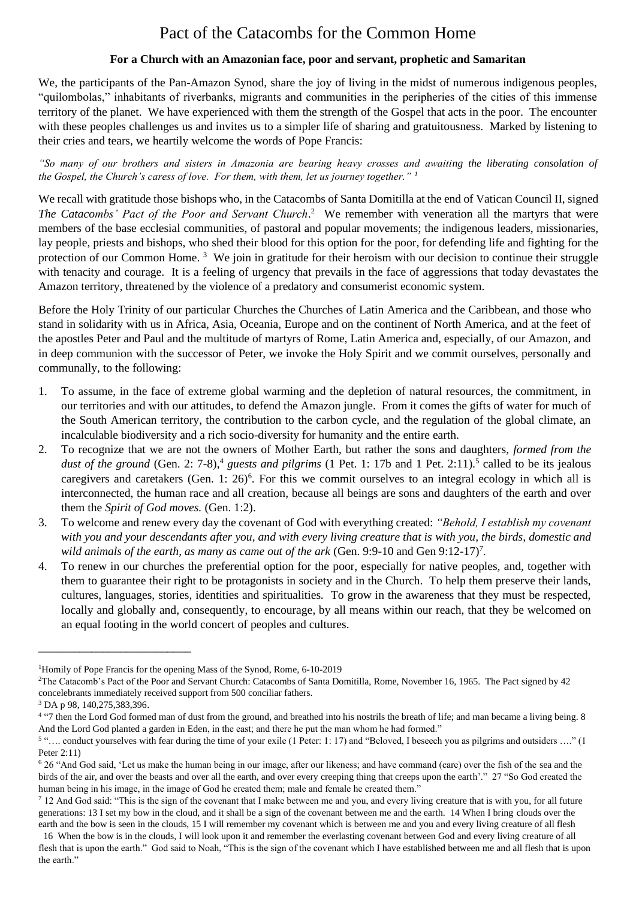## Pact of the Catacombs for the Common Home

## **For a Church with an Amazonian face, poor and servant, prophetic and Samaritan**

We, the participants of the Pan-Amazon Synod, share the joy of living in the midst of numerous indigenous peoples, "quilombolas," inhabitants of riverbanks, migrants and communities in the peripheries of the cities of this immense territory of the planet. We have experienced with them the strength of the Gospel that acts in the poor. The encounter with these peoples challenges us and invites us to a simpler life of sharing and gratuitousness. Marked by listening to their cries and tears, we heartily welcome the words of Pope Francis:

*"So many of our brothers and sisters in Amazonia are bearing heavy crosses and awaiting the liberating consolation of the Gospel, the Church's caress of love. For them, with them, let us journey together." <sup>1</sup>*

We recall with gratitude those bishops who, in the Catacombs of Santa Domitilla at the end of Vatican Council II, signed The Catacombs' Pact of the Poor and Servant Church.<sup>2</sup> We remember with veneration all the martyrs that were members of the base ecclesial communities, of pastoral and popular movements; the indigenous leaders, missionaries, lay people, priests and bishops, who shed their blood for this option for the poor, for defending life and fighting for the protection of our Common Home.<sup>3</sup> We join in gratitude for their heroism with our decision to continue their struggle with tenacity and courage. It is a feeling of urgency that prevails in the face of aggressions that today devastates the Amazon territory, threatened by the violence of a predatory and consumerist economic system.

Before the Holy Trinity of our particular Churches the Churches of Latin America and the Caribbean, and those who stand in solidarity with us in Africa, Asia, Oceania, Europe and on the continent of North America, and at the feet of the apostles Peter and Paul and the multitude of martyrs of Rome, Latin America and, especially, of our Amazon, and in deep communion with the successor of Peter, we invoke the Holy Spirit and we commit ourselves, personally and communally, to the following:

- 1. To assume, in the face of extreme global warming and the depletion of natural resources, the commitment, in our territories and with our attitudes, to defend the Amazon jungle. From it comes the gifts of water for much of the South American territory, the contribution to the carbon cycle, and the regulation of the global climate, an incalculable biodiversity and a rich socio-diversity for humanity and the entire earth.
- 2. To recognize that we are not the owners of Mother Earth, but rather the sons and daughters, *formed from the*  dust of the ground (Gen. 2: 7-8),<sup>4</sup> guests and pilgrims (1 Pet. 1: 17b and 1 Pet. 2:11).<sup>5</sup> called to be its jealous caregivers and caretakers (Gen. 1: 26)<sup>6</sup>. For this we commit ourselves to an integral ecology in which all is interconnected, the human race and all creation, because all beings are sons and daughters of the earth and over them the *Spirit of God moves.* (Gen. 1:2).
- 3. To welcome and renew every day the covenant of God with everything created: *"Behold, I establish my covenant*  with you and your descendants after you, and with every living creature that is with you, the birds, domestic and wild animals of the earth, as many as came out of the ark (Gen. 9:9-10 and Gen 9:12-17)<sup>7</sup>.
- 4. To renew in our churches the preferential option for the poor, especially for native peoples, and, together with them to guarantee their right to be protagonists in society and in the Church. To help them preserve their lands, cultures, languages, stories, identities and spiritualities. To grow in the awareness that they must be respected, locally and globally and, consequently, to encourage, by all means within our reach, that they be welcomed on an equal footing in the world concert of peoples and cultures.

\_\_\_\_\_\_\_\_\_\_\_\_\_\_\_\_\_\_\_\_\_\_\_\_\_\_

<sup>1</sup>Homily of Pope Francis for the opening Mass of the Synod, Rome, 6-10-2019

<sup>2</sup>The Catacomb's Pact of the Poor and Servant Church: Catacombs of Santa Domitilla, Rome, November 16, 1965. The Pact signed by 42 concelebrants immediately received support from 500 conciliar fathers.

<sup>3</sup> DA p 98, 140,275,383,396.

<sup>&</sup>lt;sup>4</sup> "7 then the Lord God formed man of dust from the ground, and breathed into his nostrils the breath of life; and man became a living being. 8 And the Lord God planted a garden in Eden, in the east; and there he put the man whom he had formed."

<sup>&</sup>lt;sup>5</sup> ".... conduct yourselves with fear during the time of your exile (1 Peter: 1: 17) and "Beloved, I beseech you as pilgrims and outsiders ...." (1 Peter 2:11)

<sup>6</sup> 26 "And God said, 'Let us make the human being in our image, after our likeness; and have command (care) over the fish of the sea and the birds of the air, and over the beasts and over all the earth, and over every creeping thing that creeps upon the earth'." 27 "So God created the human being in his image, in the image of God he created them; male and female he created them."

<sup>&</sup>lt;sup>7</sup> 12 And God said: "This is the sign of the covenant that I make between me and you, and every living creature that is with you, for all future generations: 13 I set my bow in the cloud, and it shall be a sign of the covenant between me and the earth. 14 When I bring clouds over the earth and the bow is seen in the clouds, 15 I will remember my covenant which is between me and you and every living creature of all flesh

 <sup>16</sup> When the bow is in the clouds, I will look upon it and remember the everlasting covenant between God and every living creature of all flesh that is upon the earth." God said to Noah, "This is the sign of the covenant which I have established between me and all flesh that is upon the earth."